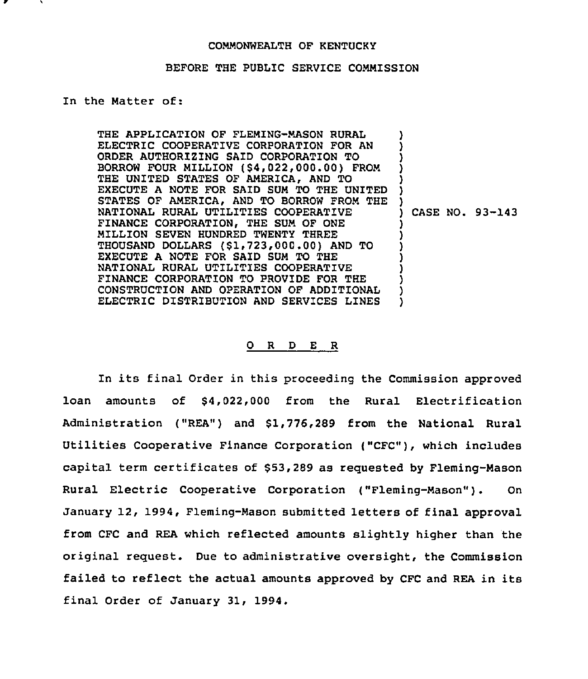## COMMONWEALTH OF KENTUCKY

## BEFORE THE PUBLIC SERVICE COMMISSION

## In the Matter of:

THE APPLICATION OF FLEMING-MASON RURAL ELECTRIC COOPERATIVE CORPORATION FOR AN ORDER AUTHORIZING SAID CORPORATION TO BORROW FOUR MILLION (\$4,022,000.00) FROM THE UNITED STATES OF AMERICA, AND TO EXECUTE A NOTE FOR SAID SUM TO THE UNITED STATES OF AMERICA, AND TO BORROW FROM THE NATIONAL RURAL UTILITIES COOPERATIVE FINANCE CORPORATION, THE SUM OF ONE MILLION SEVEN HUNDRED TWENTY THREE THOUSAND DOLLARS (\$1,723,000.00) AND TO EXECUTE A NOTE FOR SAID SUM TO THE NATIONAL RURAL UTILITIES COOPERATIVE FINANCE CORPORATION TO PROVIDE FOR THE CONSTRUCTION AND OPERATION OF ADDITZONAL ELECTRIC DISTRIBUTION AND SERVICES LINES ) ) ) ) ) ) ) ) CASE NO. 93-143 ) ) ) ) ) ) ) )

## Q R D E R

In its final Order in this proceeding the Commission approved loan amounts of \$4,022,000 from the Rural Electrification Administration ("REA") and \$1,776,289 from the National Rural Utilities Cooperative Finance Corporation ("CFC"), which includes capital term certificates of \$53,289 as requested by Fleming-Mason Rural Electric Cooperative Corporation ("Fleming-Mason"). On January 12, 1994, Fleming-Mason submitted letters of final approval from CFC and REA which reflected amounts slightly higher than the original request. Due to administrative oversight, the Commission failed to reflect the actual amounts approved by CFC and REA in its final Order of January 31, 1994.